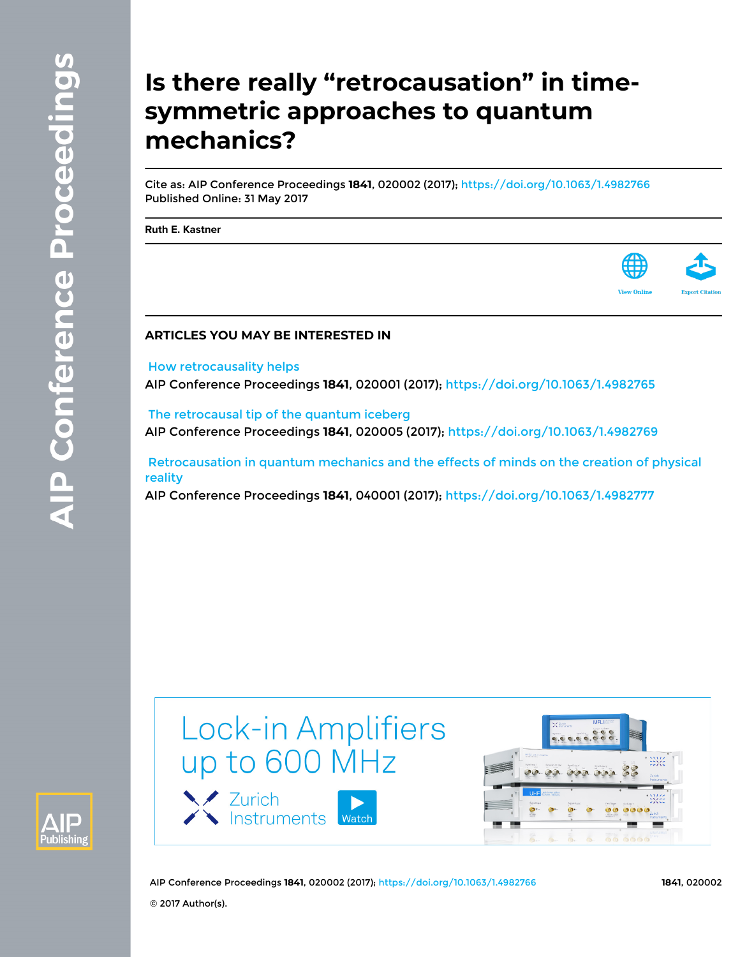# Is there really "retrocausation" in timesymmetric approaches to quantum mechanics?

Cite as: AIP Conference Proceedings 1841, 020002 (2017); https://doi.org/10.1063/1.4982766 Published Online: 31 May 2017

**Ruth E. Kastner** 

### **ARTICLES YOU MAY BE INTERESTED IN**

**How retrocausality helps** 

AIP Conference Proceedings 1841, 020001 (2017); https://doi.org/10.1063/1.4982765

The retrocausal tip of the quantum iceberg AIP Conference Proceedings 1841, 020005 (2017); https://doi.org/10.1063/1.4982769

Retrocausation in quantum mechanics and the effects of minds on the creation of physical reality

AIP Conference Proceedings 1841, 040001 (2017); https://doi.org/10.1063/1.4982777

# Lock-in Amplifiers up to 600 MHz





AIP Conference Proceedings 1841, 020002 (2017); https://doi.org/10.1063/1.4982766

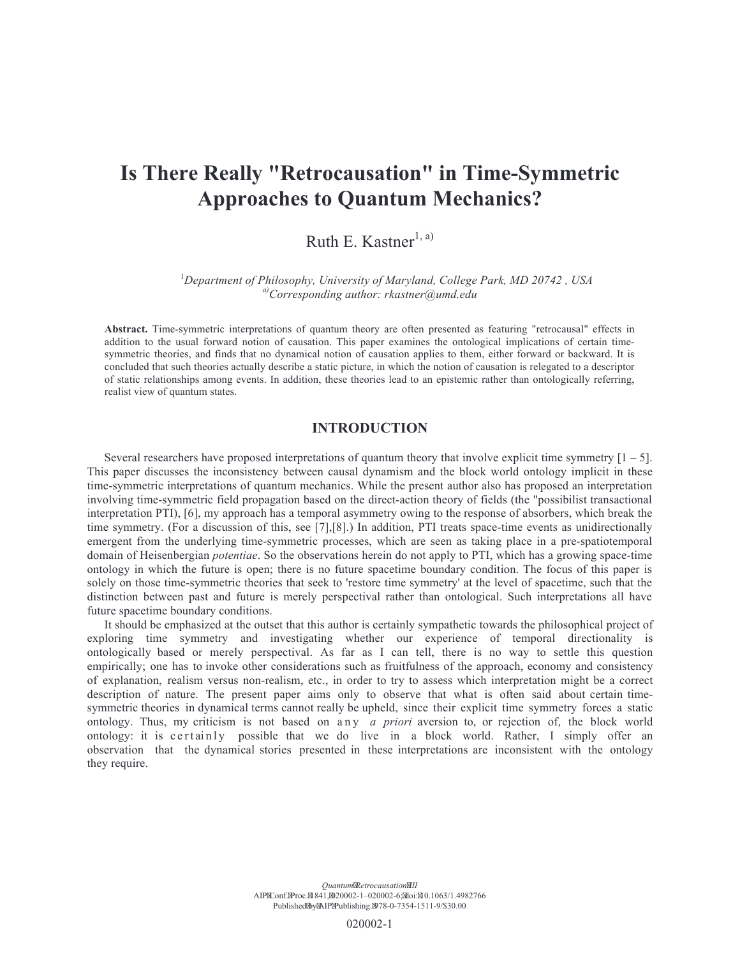## Is There Really "Retrocausation" in Time-Symmetric **Approaches to Quantum Mechanics?**

Ruth E. Kastner<sup>1, a)</sup>

<sup>1</sup>Department of Philosophy, University of Maryland, College Park, MD 20742, USA <sup>a)</sup>Corresponding author: rkastner@umd.edu

Abstract. Time-symmetric interpretations of quantum theory are often presented as featuring "retrocausal" effects in addition to the usual forward notion of causation. This paper examines the ontological implications of certain timesymmetric theories, and finds that no dynamical notion of causation applies to them, either forward or backward. It is concluded that such theories actually describe a static picture, in which the notion of causation is relegated to a descriptor of static relationships among events. In addition, these theories lead to an epistemic rather than ontologically referring, realist view of quantum states.

#### **INTRODUCTION**

Several researchers have proposed interpretations of quantum theory that involve explicit time symmetry  $[1 - 5]$ . This paper discusses the inconsistency between causal dynamism and the block world ontology implicit in these time-symmetric interpretations of quantum mechanics. While the present author also has proposed an interpretation involving time-symmetric field propagation based on the direct-action theory of fields (the "possibilist transactional interpretation PTI), [6], my approach has a temporal asymmetry owing to the response of absorbers, which break the time symmetry. (For a discussion of this, see [7], [8].) In addition, PTI treats space-time events as unidirectionally emergent from the underlying time-symmetric processes, which are seen as taking place in a pre-spatiotemporal domain of Heisenbergian *potentiae*. So the observations herein do not apply to PTI, which has a growing space-time ontology in which the future is open; there is no future spacetime boundary condition. The focus of this paper is solely on those time-symmetric theories that seek to 'restore time symmetry' at the level of spacetime, such that the distinction between past and future is merely perspectival rather than ontological. Such interpretations all have future spacetime boundary conditions.

It should be emphasized at the outset that this author is certainly sympathetic towards the philosophical project of exploring time symmetry and investigating whether our experience of temporal directionality is ontologically based or merely perspectival. As far as I can tell, there is no way to settle this question empirically; one has to invoke other considerations such as fruitfulness of the approach, economy and consistency of explanation, realism versus non-realism, etc., in order to try to assess which interpretation might be a correct description of nature. The present paper aims only to observe that what is often said about certain timesymmetric theories in dynamical terms cannot really be upheld, since their explicit time symmetry forces a static ontology. Thus, my criticism is not based on any a priori aversion to, or rejection of, the block world ontology: it is certainly possible that we do live in a block world. Rather, I simply offer an observation that the dynamical stories presented in these interpretations are inconsistent with the ontology they require.

> **Ouantum Retrocausation III** AIP Conf. Proc. 1841, 020002-1-020002-6; doi: 10.1063/1.4982766 Published by AIP Publishing. 978-0-7354-1511-9/\$30.00

> > $020002 - 1$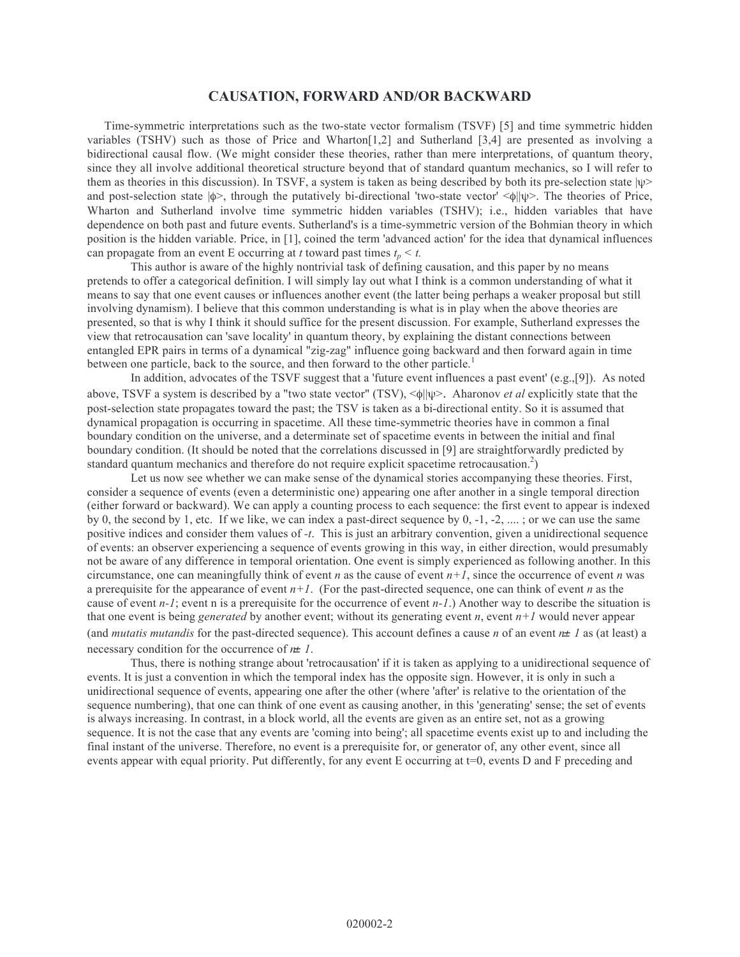#### **CAUSATION, FORWARD AND/OR BACKWARD**

Time-symmetric interpretations such as the two-state vector formalism (TSVF) [5] and time symmetric hidden variables (TSHV) such as those of Price and Wharton $[1,2]$  and Sutherland  $[3,4]$  are presented as involving a bidirectional causal flow. (We might consider these theories, rather than mere interpretations, of quantum theory, since they all involve additional theoretical structure beyond that of standard quantum mechanics, so I will refer to them as theories in this discussion). In TSVF, a system is taken as being described by both its pre-selection state  $|\psi\rangle$ and post-selection state  $|\phi\rangle$ , through the putatively bi-directional 'two-state vector'  $\langle \phi | | \psi \rangle$ . The theories of Price, Wharton and Sutherland involve time symmetric hidden variables (TSHV); i.e., hidden variables that have dependence on both past and future events. Sutherland's is a time-symmetric version of the Bohmian theory in which position is the hidden variable. Price, in [1], coined the term 'advanced action' for the idea that dynamical influences can propagate from an event E occurring at t toward past times  $t_n \leq t$ .

This author is aware of the highly nontrivial task of defining causation, and this paper by no means pretends to offer a categorical definition. I will simply lay out what I think is a common understanding of what it means to say that one event causes or influences another event (the latter being perhaps a weaker proposal but still involving dynamism). I believe that this common understanding is what is in play when the above theories are presented, so that is why I think it should suffice for the present discussion. For example, Sutherland expresses the view that retrocausation can 'save locality' in quantum theory, by explaining the distant connections between entangled EPR pairs in terms of a dynamical "zig-zag" influence going backward and then forward again in time between one particle, back to the source, and then forward to the other particle.<sup>1</sup>

In addition, advocates of the TSVF suggest that a 'future event influences a past event' (e.g., [9]). As noted above, TSVF a system is described by a "two state vector" (TSV),  $\ll \phi$ || $\psi$ >. Aharonov *et al* explicitly state that the post-selection state propagates toward the past; the TSV is taken as a bi-directional entity. So it is assumed that dynamical propagation is occurring in spacetime. All these time-symmetric theories have in common a final boundary condition on the universe, and a determinate set of spacetime events in between the initial and final boundary condition. (It should be noted that the correlations discussed in [9] are straightforwardly predicted by standard quantum mechanics and therefore do not require explicit spacetime retrocausation.<sup>2</sup>)

Let us now see whether we can make sense of the dynamical stories accompanying these theories. First, consider a sequence of events (even a deterministic one) appearing one after another in a single temporal direction (either forward or backward). We can apply a counting process to each sequence: the first event to appear is indexed by 0, the second by 1, etc. If we like, we can index a past-direct sequence by 0, -1, -2, ..., ; or we can use the same positive indices and consider them values of -t. This is just an arbitrary convention, given a unidirectional sequence of events: an observer experiencing a sequence of events growing in this way, in either direction, would presumably not be aware of any difference in temporal orientation. One event is simply experienced as following another. In this circumstance, one can meaningfully think of event *n* as the cause of event  $n+1$ , since the occurrence of event *n* was a prerequisite for the appearance of event  $n+1$ . (For the past-directed sequence, one can think of event n as the cause of event  $n-l$ ; event n is a prerequisite for the occurrence of event  $n-l$ .) Another way to describe the situation is that one event is being *generated* by another event; without its generating event  $n$ , event  $n+1$  would never appear (and *mutatis mutandis* for the past-directed sequence). This account defines a cause *n* of an event  $n\pm 1$  as (at least) a necessary condition for the occurrence of  $n\pm 1$ .

Thus, there is nothing strange about 'retrocausation' if it is taken as applying to a unidirectional sequence of events. It is just a convention in which the temporal index has the opposite sign. However, it is only in such a unidirectional sequence of events, appearing one after the other (where 'after' is relative to the orientation of the sequence numbering), that one can think of one event as causing another, in this 'generating' sense; the set of events is always increasing. In contrast, in a block world, all the events are given as an entire set, not as a growing sequence. It is not the case that any events are 'coming into being'; all spacetime events exist up to and including the final instant of the universe. Therefore, no event is a prerequisite for, or generator of, any other event, since all events appear with equal priority. Put differently, for any event E occurring at t=0, events D and F preceding and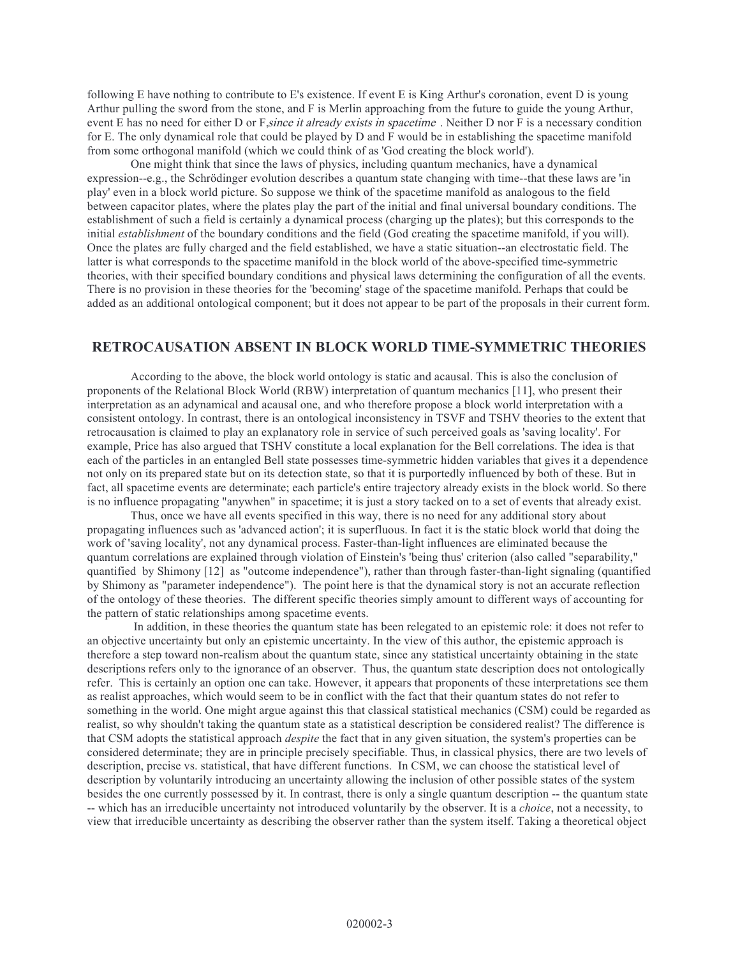following E have nothing to contribute to E's existence. If event E is King Arthur's coronation, event D is young Arthur pulling the sword from the stone, and F is Merlin approaching from the future to guide the young Arthur, event E has no need for either D or F, since it already exists in spacetime. Neither D nor F is a necessary condition for E. The only dynamical role that could be played by D and F would be in establishing the spacetime manifold from some orthogonal manifold (which we could think of as 'God creating the block world').

One might think that since the laws of physics, including quantum mechanics, have a dynamical expression--e.g., the Schrödinger evolution describes a quantum state changing with time--that these laws are 'in play' even in a block world picture. So suppose we think of the spacetime manifold as analogous to the field between capacitor plates, where the plates play the part of the initial and final universal boundary conditions. The establishment of such a field is certainly a dynamical process (charging up the plates); but this corresponds to the initial *establishment* of the boundary conditions and the field (God creating the spacetime manifold, if you will). Once the plates are fully charged and the field established, we have a static situation--an electrostatic field. The latter is what corresponds to the spacetime manifold in the block world of the above-specified time-symmetric theories, with their specified boundary conditions and physical laws determining the configuration of all the events. There is no provision in these theories for the 'becoming' stage of the spacetime manifold. Perhaps that could be added as an additional ontological component; but it does not appear to be part of the proposals in their current form.

#### **RETROCAUSATION ABSENT IN BLOCK WORLD TIME-SYMMETRIC THEORIES**

According to the above, the block world ontology is static and acausal. This is also the conclusion of proponents of the Relational Block World (RBW) interpretation of quantum mechanics [11], who present their interpretation as an adynamical and acausal one, and who therefore propose a block world interpretation with a consistent ontology. In contrast, there is an ontological inconsistency in TSVF and TSHV theories to the extent that retrocausation is claimed to play an explanatory role in service of such perceived goals as 'saving locality'. For example, Price has also argued that TSHV constitute a local explanation for the Bell correlations. The idea is that each of the particles in an entangled Bell state possesses time-symmetric hidden variables that gives it a dependence not only on its prepared state but on its detection state, so that it is purportedly influenced by both of these. But in fact, all spacetime events are determinate; each particle's entire trajectory already exists in the block world. So there is no influence propagating "anywhen" in spacetime; it is just a story tacked on to a set of events that already exist.

Thus, once we have all events specified in this way, there is no need for any additional story about propagating influences such as 'advanced action'; it is superfluous. In fact it is the static block world that doing the work of 'saving locality', not any dynamical process. Faster-than-light influences are eliminated because the quantum correlations are explained through violation of Einstein's 'being thus' criterion (also called "separability," quantified by Shimony [12] as "outcome independence"), rather than through faster-than-light signaling (quantified by Shimony as "parameter independence"). The point here is that the dynamical story is not an accurate reflection of the ontology of these theories. The different specific theories simply amount to different ways of accounting for the pattern of static relationships among spacetime events.

In addition, in these theories the quantum state has been relegated to an epistemic role: it does not refer to an objective uncertainty but only an epistemic uncertainty. In the view of this author, the epistemic approach is therefore a step toward non-realism about the quantum state, since any statistical uncertainty obtaining in the state descriptions refers only to the ignorance of an observer. Thus, the quantum state description does not ontologically refer. This is certainly an option one can take. However, it appears that proponents of these interpretations see them as realist approaches, which would seem to be in conflict with the fact that their quantum states do not refer to something in the world. One might argue against this that classical statistical mechanics (CSM) could be regarded as realist, so why shouldn't taking the quantum state as a statistical description be considered realist? The difference is that CSM adopts the statistical approach *despite* the fact that in any given situation, the system's properties can be considered determinate; they are in principle precisely specifiable. Thus, in classical physics, there are two levels of description, precise vs. statistical, that have different functions. In CSM, we can choose the statistical level of description by voluntarily introducing an uncertainty allowing the inclusion of other possible states of the system besides the one currently possessed by it. In contrast, there is only a single quantum description -- the quantum state -- which has an irreducible uncertainty not introduced voluntarily by the observer. It is a *choice*, not a necessity, to view that irreducible uncertainty as describing the observer rather than the system itself. Taking a theoretical object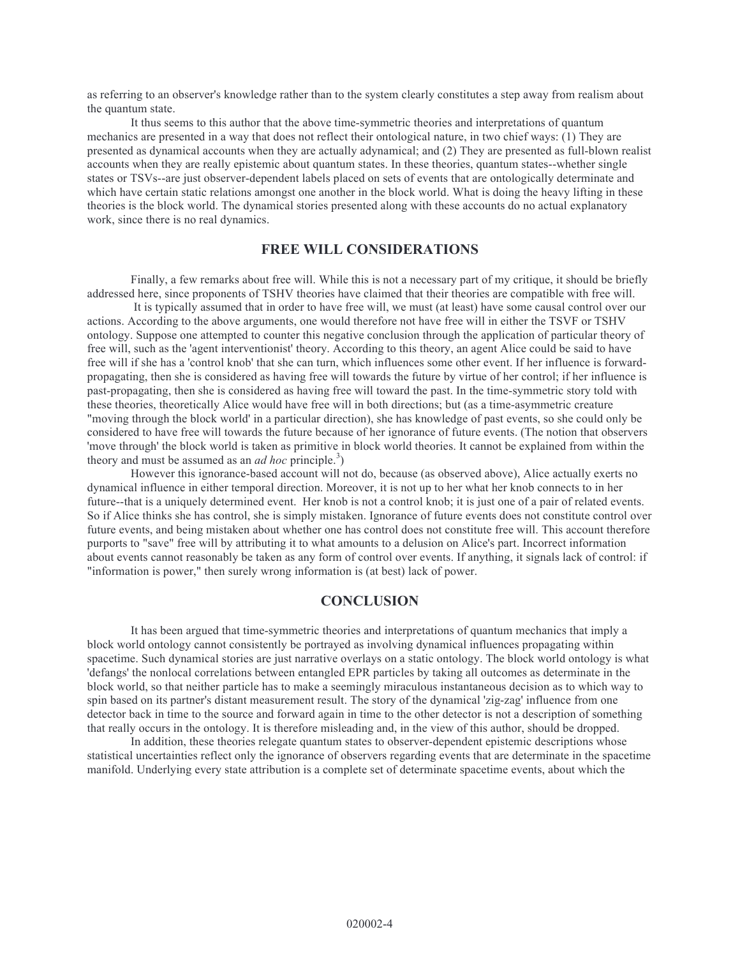as referring to an observer's knowledge rather than to the system clearly constitutes a step away from realism about the quantum state.

It thus seems to this author that the above time-symmetric theories and interpretations of quantum mechanics are presented in a way that does not reflect their ontological nature, in two chief ways: (1) They are presented as dynamical accounts when they are actually adynamical; and (2) They are presented as full-blown realist accounts when they are really epistemic about quantum states. In these theories, quantum states--whether single states or TSVs--are just observer-dependent labels placed on sets of events that are ontologically determinate and which have certain static relations amongst one another in the block world. What is doing the heavy lifting in these theories is the block world. The dynamical stories presented along with these accounts do no actual explanatory work, since there is no real dynamics.

#### **FREE WILL CONSIDERATIONS**

Finally, a few remarks about free will. While this is not a necessary part of my critique, it should be briefly addressed here, since proponents of TSHV theories have claimed that their theories are compatible with free will.

It is typically assumed that in order to have free will, we must (at least) have some causal control over our actions. According to the above arguments, one would therefore not have free will in either the TSVF or TSHV ontology. Suppose one attempted to counter this negative conclusion through the application of particular theory of free will, such as the 'agent interventionist' theory. According to this theory, an agent Alice could be said to have free will if she has a 'control knob' that she can turn, which influences some other event. If her influence is forwardpropagating, then she is considered as having free will towards the future by virtue of her control; if her influence is past-propagating, then she is considered as having free will toward the past. In the time-symmetric story told with these theories, theoretically Alice would have free will in both directions; but (as a time-asymmetric creature "moving through the block world' in a particular direction), she has knowledge of past events, so she could only be considered to have free will towards the future because of her ignorance of future events. (The notion that observers 'move through' the block world is taken as primitive in block world theories. It cannot be explained from within the theory and must be assumed as an *ad hoc* principle.<sup>3</sup>)

However this ignorance-based account will not do, because (as observed above), Alice actually exerts no dynamical influence in either temporal direction. Moreover, it is not up to her what her knob connects to in her future--that is a uniquely determined event. Her knob is not a control knob; it is just one of a pair of related events. So if Alice thinks she has control, she is simply mistaken. Ignorance of future events does not constitute control over future events, and being mistaken about whether one has control does not constitute free will. This account therefore purports to "save" free will by attributing it to what amounts to a delusion on Alice's part. Incorrect information about events cannot reasonably be taken as any form of control over events. If anything, it signals lack of control: if "information is power," then surely wrong information is (at best) lack of power.

#### **CONCLUSION**

It has been argued that time-symmetric theories and interpretations of quantum mechanics that imply a block world ontology cannot consistently be portrayed as involving dynamical influences propagating within spacetime. Such dynamical stories are just narrative overlays on a static ontology. The block world ontology is what 'defangs' the nonlocal correlations between entangled EPR particles by taking all outcomes as determinate in the block world, so that neither particle has to make a seemingly miraculous instantaneous decision as to which way to spin based on its partner's distant measurement result. The story of the dynamical 'zig-zag' influence from one detector back in time to the source and forward again in time to the other detector is not a description of something that really occurs in the ontology. It is therefore misleading and, in the view of this author, should be dropped.

In addition, these theories relegate quantum states to observer-dependent epistemic descriptions whose statistical uncertainties reflect only the ignorance of observers regarding events that are determinate in the spacetime manifold. Underlying every state attribution is a complete set of determinate spacetime events, about which the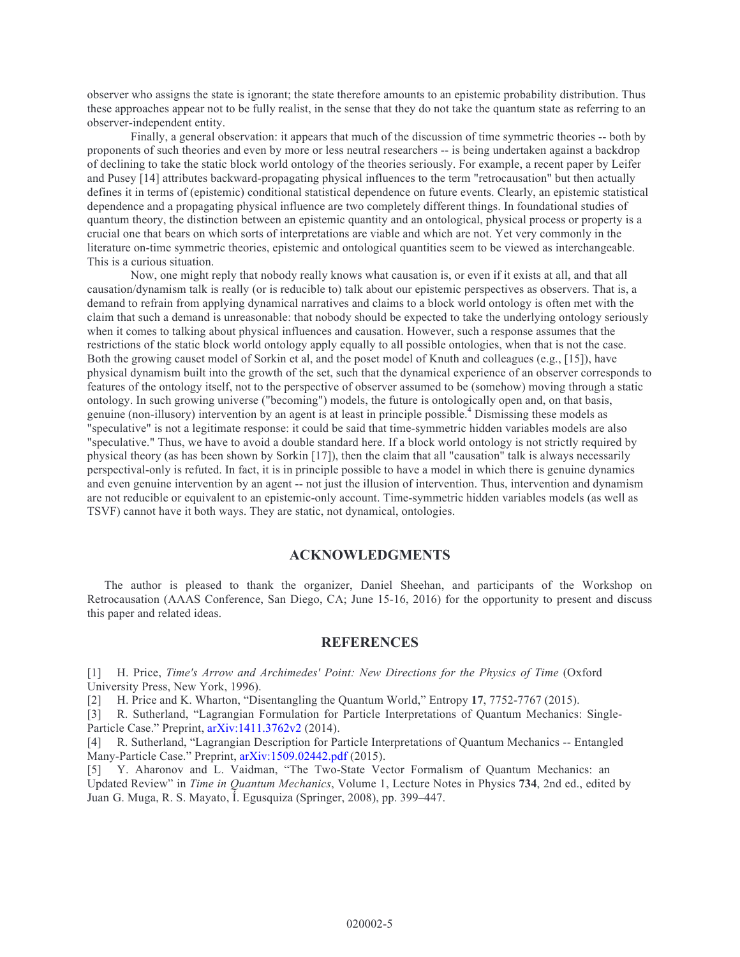observer who assigns the state is ignorant; the state therefore amounts to an epistemic probability distribution. Thus these approaches appear not to be fully realist, in the sense that they do not take the quantum state as referring to an observer-independent entity.

Finally, a general observation: it appears that much of the discussion of time symmetric theories -- both by proponents of such theories and even by more or less neutral researchers -- is being undertaken against a backdrop of declining to take the static block world ontology of the theories seriously. For example, a recent paper by Leifer and Pusey [14] attributes backward-propagating physical influences to the term "retrocausation" but then actually defines it in terms of (epistemic) conditional statistical dependence on future events. Clearly, an epistemic statistical dependence and a propagating physical influence are two completely different things. In foundational studies of quantum theory, the distinction between an epistemic quantity and an ontological, physical process or property is a crucial one that bears on which sorts of interpretations are viable and which are not. Yet very commonly in the literature on-time symmetric theories, epistemic and ontological quantities seem to be viewed as interchangeable. This is a curious situation.

Now, one might reply that nobody really knows what causation is, or even if it exists at all, and that all causation/dynamism talk is really (or is reducible to) talk about our epistemic perspectives as observers. That is, a demand to refrain from applying dynamical narratives and claims to a block world ontology is often met with the claim that such a demand is unreasonable: that nobody should be expected to take the underlying ontology seriously when it comes to talking about physical influences and causation. However, such a response assumes that the restrictions of the static block world ontology apply equally to all possible ontologies, when that is not the case. Both the growing causet model of Sorkin et al, and the poset model of Knuth and colleagues (e.g., [15]), have physical dynamism built into the growth of the set, such that the dynamical experience of an observer corresponds to features of the ontology itself, not to the perspective of observer assumed to be (somehow) moving through a static ontology. In such growing universe ("becoming") models, the future is ontologically open and, on that basis, genuine (non-illusory) intervention by an agent is at least in principle possible.<sup>4</sup> Dismissing these models as "speculative" is not a legitimate response: it could be said that time-symmetric hidden variables models are also "speculative." Thus, we have to avoid a double standard here. If a block world ontology is not strictly required by physical theory (as has been shown by Sorkin [17]), then the claim that all "causation" talk is always necessarily perspectival-only is refuted. In fact, it is in principle possible to have a model in which there is genuine dynamics and even genuine intervention by an agent -- not just the illusion of intervention. Thus, intervention and dynamism are not reducible or equivalent to an epistemic-only account. Time-symmetric hidden variables models (as well as TSVF) cannot have it both ways. They are static, not dynamical, ontologies.

#### **ACKNOWLEDGMENTS**

The author is pleased to thank the organizer, Daniel Sheehan, and participants of the Workshop on Retrocausation (AAAS Conference, San Diego, CA; June 15-16, 2016) for the opportunity to present and discuss this paper and related ideas.

#### **REFERENCES**

[1] H. Price, Time's Arrow and Archimedes' Point: New Directions for the Physics of Time (Oxford University Press, New York, 1996).

[2] H. Price and K. Wharton, "Disentangling the Quantum World," Entropy 17, 7752-7767 (2015).

[3] R. Sutherland, "Lagrangian Formulation for Particle Interpretations of Quantum Mechanics: Single-Particle Case." Preprint, arXiv:1411.3762v2 (2014).

[4] R. Sutherland, "Lagrangian Description for Particle Interpretations of Quantum Mechanics -- Entangled Many-Particle Case." Preprint, arXiv:1509.02442.pdf (2015).

[5] Y. Aharonov and L. Vaidman, "The Two-State Vector Formalism of Quantum Mechanics: an Updated Review" in Time in Quantum Mechanics, Volume 1, Lecture Notes in Physics 734, 2nd ed., edited by Juan G. Muga, R. S. Mayato, Í. Egusquiza (Springer, 2008), pp. 399-447.